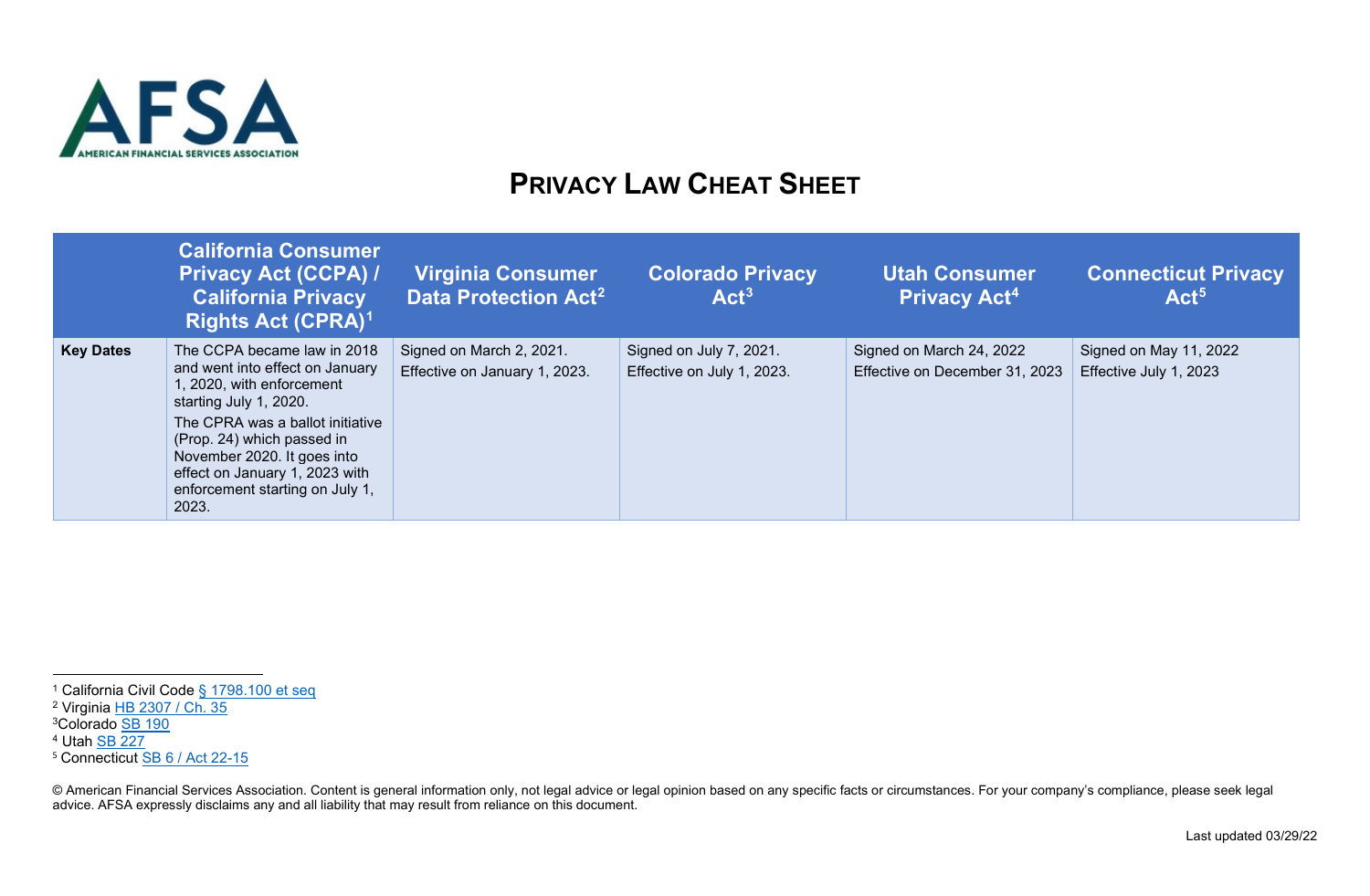

## <span id="page-0-4"></span><span id="page-0-3"></span><span id="page-0-2"></span><span id="page-0-1"></span><span id="page-0-0"></span>**PRIVACY LAW CHEAT SHEET**

|                  | <b>California Consumer</b><br><b>Privacy Act (CCPA) /</b><br><b>California Privacy</b><br><b>Rights Act (CPRA)<sup>1</sup></b>                                              | <b>Virginia Consumer</b><br>Data Protection Act <sup>2</sup> | <b>Colorado Privacy</b><br>Act <sup>3</sup>           | <b>Utah Consumer</b><br><b>Privacy Act<sup>4</sup></b>     | <b>Connecticut Privacy</b><br>Act <sup>5</sup>   |
|------------------|-----------------------------------------------------------------------------------------------------------------------------------------------------------------------------|--------------------------------------------------------------|-------------------------------------------------------|------------------------------------------------------------|--------------------------------------------------|
| <b>Key Dates</b> | The CCPA became law in 2018<br>and went into effect on January<br>1, 2020, with enforcement<br>starting July 1, 2020.                                                       | Signed on March 2, 2021.<br>Effective on January 1, 2023.    | Signed on July 7, 2021.<br>Effective on July 1, 2023. | Signed on March 24, 2022<br>Effective on December 31, 2023 | Signed on May 11, 2022<br>Effective July 1, 2023 |
|                  | The CPRA was a ballot initiative<br>(Prop. 24) which passed in<br>November 2020. It goes into<br>effect on January 1, 2023 with<br>enforcement starting on July 1,<br>2023. |                                                              |                                                       |                                                            |                                                  |

<sup>&</sup>lt;sup>1</sup> California Civil Code [§ 1798.100 et seq](https://leginfo.legislature.ca.gov/faces/codes_displayText.xhtml?division=3.&part=4.&lawCode=CIV&title=1.81.5#:%7E:text=(a)%20A%20consumer%20shall%20have,information%20the%20business%20has%20collected.)

<sup>&</sup>lt;sup>2</sup> Virginia [HB 2307 / Ch. 35](https://track.leoninefocus.com/bills/va-2021-2022-hb-2307/current-text-version)

<sup>3</sup>Colorado [SB 190](http://leg.colorado.gov/sites/default/files/documents/2021A/bills/2021a_190_ren.pdf)

<sup>4</sup> Utah [SB 227](https://le.utah.gov/%7E2022/bills/sbillint/SB0227S02.pdf)

<sup>&</sup>lt;sup>5</sup> Connecticut **SB 6 / Act 22-15** 

<sup>©</sup> American Financial Services Association. Content is general information only, not legal advice or legal opinion based on any specific facts or circumstances. For your company's compliance, please seek legal advice. AFSA expressly disclaims any and all liability that may result from reliance on this document.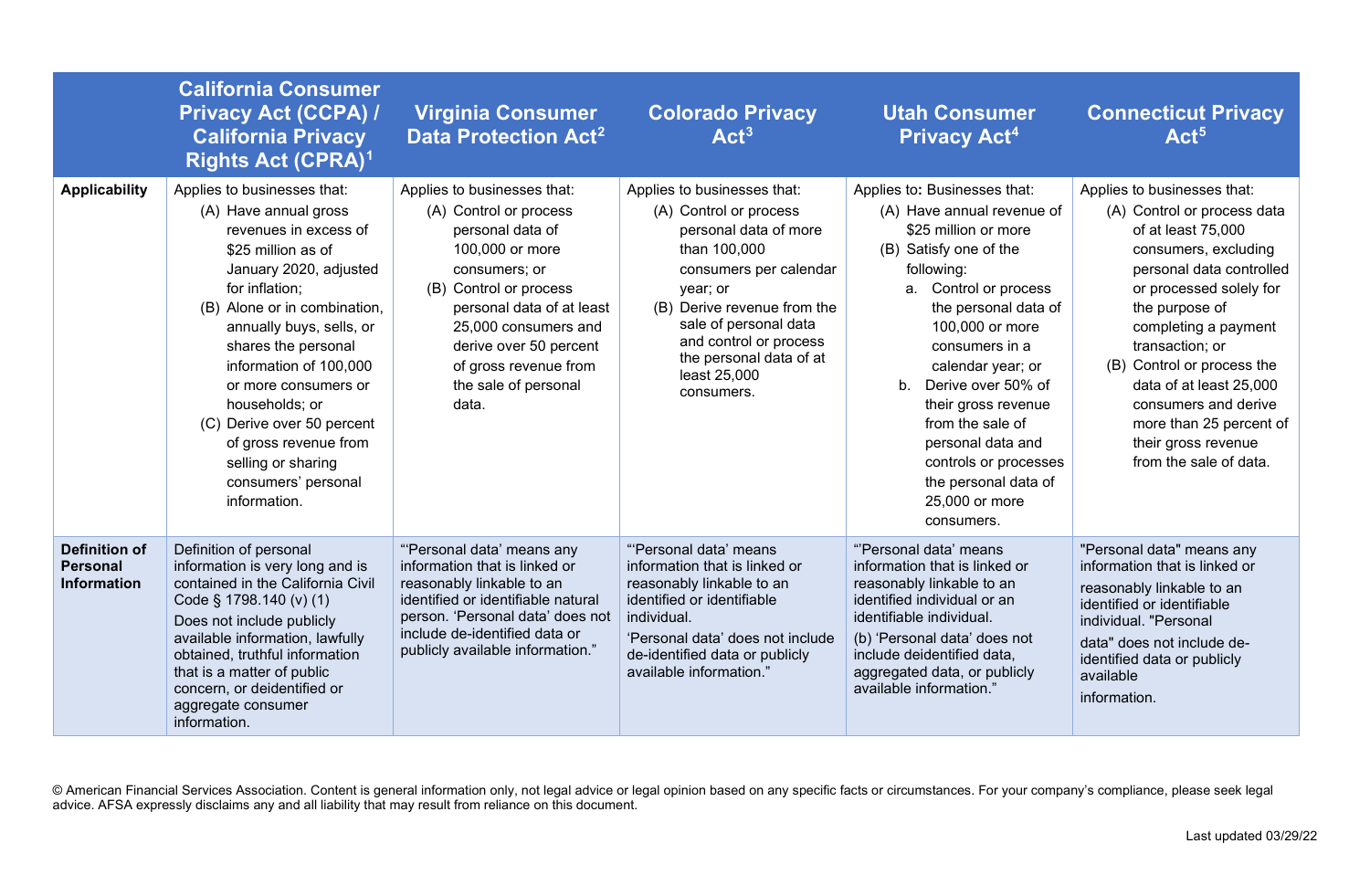|                                                               | <b>California Consumer</b><br><b>Privacy Act (CCPA) /</b><br><b>California Privacy</b><br><b>Rights Act (CPRA)<sup>1</sup></b>                                                                                                                                                                                                                                                                                             | <b>Virginia Consumer</b><br>Data Protection Act <sup>2</sup>                                                                                                                                                                                                                     | <b>Colorado Privacy</b><br>Act <sup>3</sup>                                                                                                                                                                                                                                     | <b>Utah Consumer</b><br><b>Privacy Act<sup>4</sup></b>                                                                                                                                                                                                                                                                                                                                                          | <b>Connecticut Privacy</b><br>Act <sup>5</sup>                                                                                                                                                                                                                                                                                                                                            |
|---------------------------------------------------------------|----------------------------------------------------------------------------------------------------------------------------------------------------------------------------------------------------------------------------------------------------------------------------------------------------------------------------------------------------------------------------------------------------------------------------|----------------------------------------------------------------------------------------------------------------------------------------------------------------------------------------------------------------------------------------------------------------------------------|---------------------------------------------------------------------------------------------------------------------------------------------------------------------------------------------------------------------------------------------------------------------------------|-----------------------------------------------------------------------------------------------------------------------------------------------------------------------------------------------------------------------------------------------------------------------------------------------------------------------------------------------------------------------------------------------------------------|-------------------------------------------------------------------------------------------------------------------------------------------------------------------------------------------------------------------------------------------------------------------------------------------------------------------------------------------------------------------------------------------|
| <b>Applicability</b>                                          | Applies to businesses that:<br>(A) Have annual gross<br>revenues in excess of<br>\$25 million as of<br>January 2020, adjusted<br>for inflation;<br>(B) Alone or in combination,<br>annually buys, sells, or<br>shares the personal<br>information of 100,000<br>or more consumers or<br>households; or<br>(C) Derive over 50 percent<br>of gross revenue from<br>selling or sharing<br>consumers' personal<br>information. | Applies to businesses that:<br>(A) Control or process<br>personal data of<br>100,000 or more<br>consumers; or<br>(B) Control or process<br>personal data of at least<br>25,000 consumers and<br>derive over 50 percent<br>of gross revenue from<br>the sale of personal<br>data. | Applies to businesses that:<br>(A) Control or process<br>personal data of more<br>than 100,000<br>consumers per calendar<br>year; or<br>(B) Derive revenue from the<br>sale of personal data<br>and control or process<br>the personal data of at<br>least 25,000<br>consumers. | Applies to: Businesses that:<br>(A) Have annual revenue of<br>\$25 million or more<br>(B) Satisfy one of the<br>following:<br>a. Control or process<br>the personal data of<br>100,000 or more<br>consumers in a<br>calendar year; or<br>b. Derive over 50% of<br>their gross revenue<br>from the sale of<br>personal data and<br>controls or processes<br>the personal data of<br>25,000 or more<br>consumers. | Applies to businesses that:<br>(A) Control or process data<br>of at least 75,000<br>consumers, excluding<br>personal data controlled<br>or processed solely for<br>the purpose of<br>completing a payment<br>transaction; or<br>(B) Control or process the<br>data of at least 25,000<br>consumers and derive<br>more than 25 percent of<br>their gross revenue<br>from the sale of data. |
| <b>Definition of</b><br><b>Personal</b><br><b>Information</b> | Definition of personal<br>information is very long and is<br>contained in the California Civil<br>Code § 1798.140 (v) (1)<br>Does not include publicly<br>available information, lawfully<br>obtained, truthful information<br>that is a matter of public<br>concern, or deidentified or<br>aggregate consumer<br>information.                                                                                             | "'Personal data' means any<br>information that is linked or<br>reasonably linkable to an<br>identified or identifiable natural<br>person. 'Personal data' does not<br>include de-identified data or<br>publicly available information."                                          | "Personal data' means<br>information that is linked or<br>reasonably linkable to an<br>identified or identifiable<br>individual.<br>'Personal data' does not include<br>de-identified data or publicly<br>available information."                                               | "Personal data' means<br>information that is linked or<br>reasonably linkable to an<br>identified individual or an<br>identifiable individual.<br>(b) 'Personal data' does not<br>include deidentified data,<br>aggregated data, or publicly<br>available information."                                                                                                                                         | "Personal data" means any<br>information that is linked or<br>reasonably linkable to an<br>identified or identifiable<br>individual. "Personal<br>data" does not include de-<br>identified data or publicly<br>available<br>information.                                                                                                                                                  |

© American Financial Services Association. Content is general information only, not legal advice or legal opinion based on any specific facts or circumstances. For your company's compliance, please seek legal advice. AFSA expressly disclaims any and all liability that may result from reliance on this document.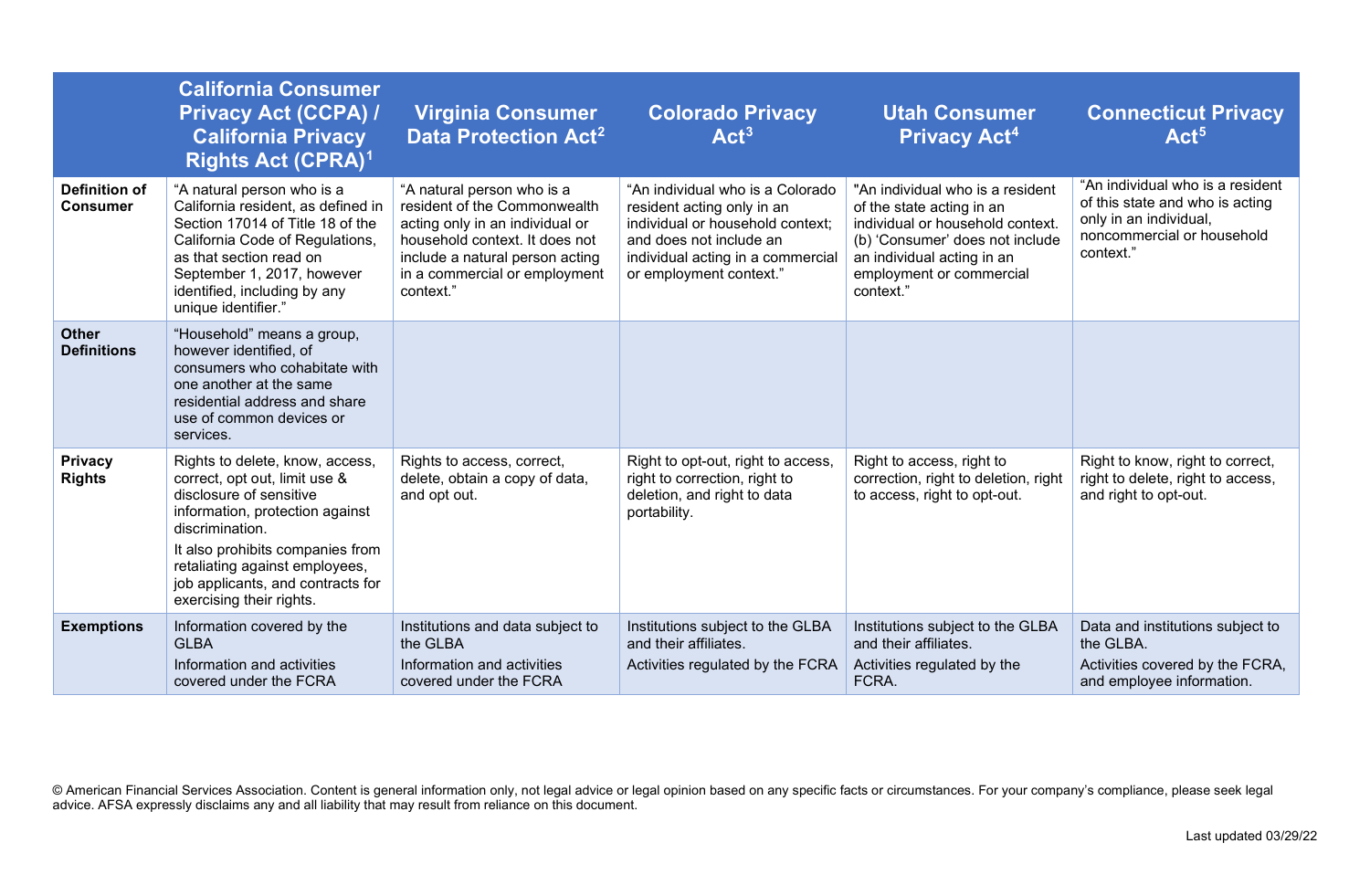|                                         | <b>California Consumer</b><br><b>Privacy Act (CCPA) /</b><br><b>California Privacy</b><br><b>Rights Act (CPRA)<sup>1</sup></b>                                                                                                                                                           | <b>Virginia Consumer</b><br>Data Protection Act <sup>2</sup>                                                                                                                                                     | <b>Colorado Privacy</b><br>Act <sup>3</sup>                                                                                                                                                   | <b>Utah Consumer</b><br><b>Privacy Act<sup>4</sup></b>                                                                                                                                                      | <b>Connecticut Privacy</b><br>Act <sup>5</sup>                                                                                           |
|-----------------------------------------|------------------------------------------------------------------------------------------------------------------------------------------------------------------------------------------------------------------------------------------------------------------------------------------|------------------------------------------------------------------------------------------------------------------------------------------------------------------------------------------------------------------|-----------------------------------------------------------------------------------------------------------------------------------------------------------------------------------------------|-------------------------------------------------------------------------------------------------------------------------------------------------------------------------------------------------------------|------------------------------------------------------------------------------------------------------------------------------------------|
| <b>Definition of</b><br><b>Consumer</b> | "A natural person who is a<br>California resident, as defined in<br>Section 17014 of Title 18 of the<br>California Code of Regulations,<br>as that section read on<br>September 1, 2017, however<br>identified, including by any<br>unique identifier."                                  | "A natural person who is a<br>resident of the Commonwealth<br>acting only in an individual or<br>household context. It does not<br>include a natural person acting<br>in a commercial or employment<br>context." | "An individual who is a Colorado<br>resident acting only in an<br>individual or household context;<br>and does not include an<br>individual acting in a commercial<br>or employment context." | "An individual who is a resident<br>of the state acting in an<br>individual or household context.<br>(b) 'Consumer' does not include<br>an individual acting in an<br>employment or commercial<br>context." | "An individual who is a resident<br>of this state and who is acting<br>only in an individual,<br>noncommercial or household<br>context." |
| <b>Other</b><br><b>Definitions</b>      | "Household" means a group,<br>however identified, of<br>consumers who cohabitate with<br>one another at the same<br>residential address and share<br>use of common devices or<br>services.                                                                                               |                                                                                                                                                                                                                  |                                                                                                                                                                                               |                                                                                                                                                                                                             |                                                                                                                                          |
| <b>Privacy</b><br><b>Rights</b>         | Rights to delete, know, access,<br>correct, opt out, limit use &<br>disclosure of sensitive<br>information, protection against<br>discrimination.<br>It also prohibits companies from<br>retaliating against employees,<br>job applicants, and contracts for<br>exercising their rights. | Rights to access, correct,<br>delete, obtain a copy of data,<br>and opt out.                                                                                                                                     | Right to opt-out, right to access,<br>right to correction, right to<br>deletion, and right to data<br>portability.                                                                            | Right to access, right to<br>correction, right to deletion, right<br>to access, right to opt-out.                                                                                                           | Right to know, right to correct,<br>right to delete, right to access,<br>and right to opt-out.                                           |
| <b>Exemptions</b>                       | Information covered by the<br><b>GLBA</b><br>Information and activities<br>covered under the FCRA                                                                                                                                                                                        | Institutions and data subject to<br>the GLBA<br>Information and activities<br>covered under the FCRA                                                                                                             | Institutions subject to the GLBA<br>and their affiliates.<br>Activities regulated by the FCRA                                                                                                 | Institutions subject to the GLBA<br>and their affiliates.<br>Activities regulated by the<br>FCRA.                                                                                                           | Data and institutions subject to<br>the GLBA.<br>Activities covered by the FCRA,<br>and employee information.                            |

© American Financial Services Association. Content is general information only, not legal advice or legal opinion based on any specific facts or circumstances. For your company's compliance, please seek legal advice. AFSA expressly disclaims any and all liability that may result from reliance on this document.